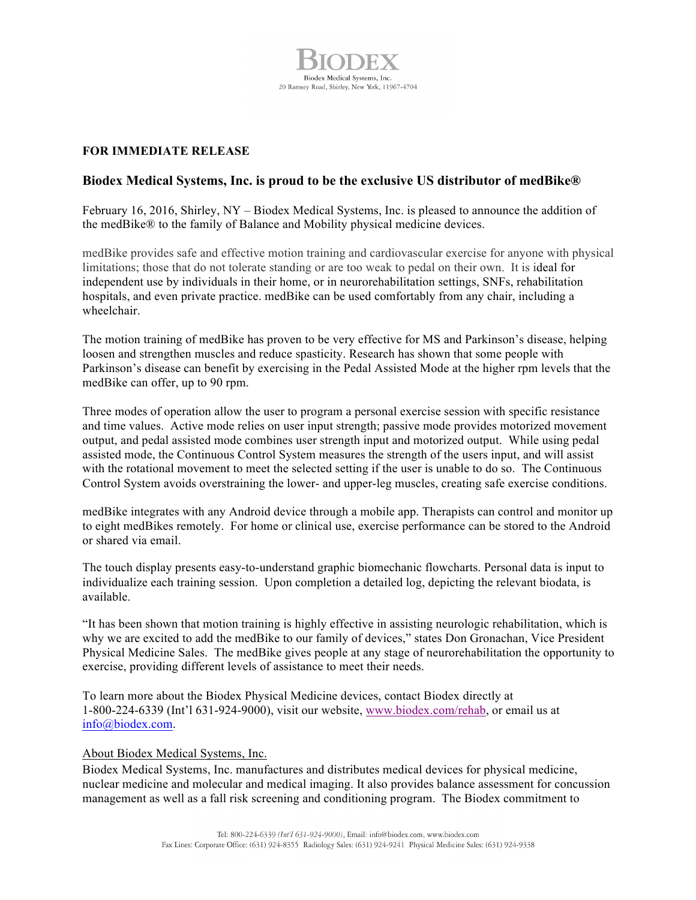

## **FOR IMMEDIATE RELEASE**

## **Biodex Medical Systems, Inc. is proud to be the exclusive US distributor of medBike®**

February 16, 2016, Shirley, NY – Biodex Medical Systems, Inc. is pleased to announce the addition of the medBike® to the family of Balance and Mobility physical medicine devices.

medBike provides safe and effective motion training and cardiovascular exercise for anyone with physical limitations; those that do not tolerate standing or are too weak to pedal on their own. It is ideal for independent use by individuals in their home, or in neurorehabilitation settings, SNFs, rehabilitation hospitals, and even private practice. medBike can be used comfortably from any chair, including a wheelchair.

The motion training of medBike has proven to be very effective for MS and Parkinson's disease, helping loosen and strengthen muscles and reduce spasticity. Research has shown that some people with Parkinson's disease can benefit by exercising in the Pedal Assisted Mode at the higher rpm levels that the medBike can offer, up to 90 rpm.

Three modes of operation allow the user to program a personal exercise session with specific resistance and time values. Active mode relies on user input strength; passive mode provides motorized movement output, and pedal assisted mode combines user strength input and motorized output. While using pedal assisted mode, the Continuous Control System measures the strength of the users input, and will assist with the rotational movement to meet the selected setting if the user is unable to do so. The Continuous Control System avoids overstraining the lower- and upper-leg muscles, creating safe exercise conditions.

medBike integrates with any Android device through a mobile app. Therapists can control and monitor up to eight medBikes remotely. For home or clinical use, exercise performance can be stored to the Android or shared via email.

The touch display presents easy-to-understand graphic biomechanic flowcharts. Personal data is input to individualize each training session. Upon completion a detailed log, depicting the relevant biodata, is available.

"It has been shown that motion training is highly effective in assisting neurologic rehabilitation, which is why we are excited to add the medBike to our family of devices," states Don Gronachan, Vice President Physical Medicine Sales. The medBike gives people at any stage of neurorehabilitation the opportunity to exercise, providing different levels of assistance to meet their needs.

To learn more about the Biodex Physical Medicine devices, contact Biodex directly at 1-800-224-6339 (Int'l 631-924-9000), visit our website, www.biodex.com/rehab, or email us at info@biodex.com.

## About Biodex Medical Systems, Inc.

Biodex Medical Systems, Inc. manufactures and distributes medical devices for physical medicine, nuclear medicine and molecular and medical imaging. It also provides balance assessment for concussion management as well as a fall risk screening and conditioning program. The Biodex commitment to